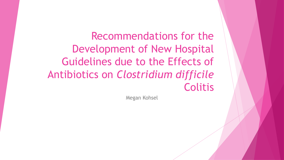Recommendations for the Development of New Hospital Guidelines due to the Effects of Antibiotics on *Clostridium difficile*  Colitis

Megan Kohsel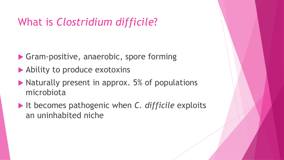## What is *Clostridium difficile*?

- Gram-positive, anaerobic, spore forming
- ▶ Ability to produce exotoxins
- $\blacktriangleright$  Naturally present in approx. 5% of populations microbiota
- It becomes pathogenic when *C. difficile* exploits an uninhabited niche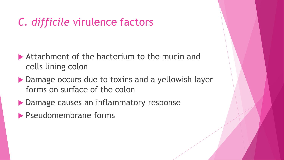# *C. difficile* virulence factors

- Attachment of the bacterium to the mucin and cells lining colon
- ▶ Damage occurs due to toxins and a yellowish layer forms on surface of the colon
- **Damage causes an inflammatory response**
- **Pseudomembrane forms**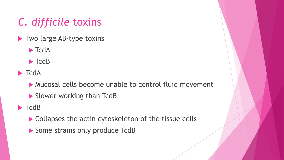# *C. difficile* toxins

- ▶ Two large AB-type toxins
	- $\blacktriangleright$  TcdA
	- $\blacktriangleright$  TcdB
- $\blacktriangleright$  TcdA
	- Mucosal cells become unable to control fluid movement
	- Slower working than TcdB
- $\blacktriangleright$  TcdB
	- ▶ Collapses the actin cytoskeleton of the tissue cells
	- Some strains only produce TcdB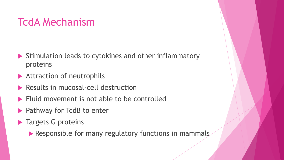## TcdA Mechanism

- ▶ Stimulation leads to cytokines and other inflammatory proteins
- Attraction of neutrophils
- Results in mucosal-cell destruction
- $\blacktriangleright$  Fluid movement is not able to be controlled
- ▶ Pathway for TcdB to enter
- **Targets G proteins** 
	- Responsible for many regulatory functions in mammals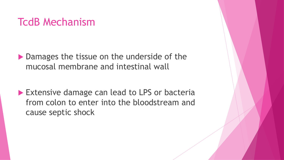### TcdB Mechanism

▶ Damages the tissue on the underside of the mucosal membrane and intestinal wall

Extensive damage can lead to LPS or bacteria from colon to enter into the bloodstream and cause septic shock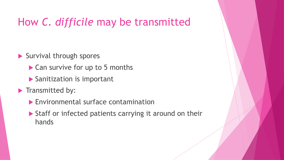## How *C. difficile* may be transmitted

 $\blacktriangleright$  Survival through spores

- ▶ Can survive for up to 5 months
- ▶ Sanitization is important
- $\blacktriangleright$  Transmitted by:
	- **Environmental surface contamination**
	- ▶ Staff or infected patients carrying it around on their hands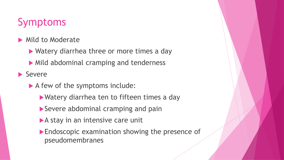# Symptoms

- Mild to Moderate
	- ▶ Watery diarrhea three or more times a day
	- Mild abdominal cramping and tenderness
- **Severe** 
	- A few of the symptoms include:
		- Watery diarrhea ten to fifteen times a day
		- ▶ Severe abdominal cramping and pain
		- A stay in an intensive care unit
		- **Endoscopic examination showing the presence of** pseudomembranes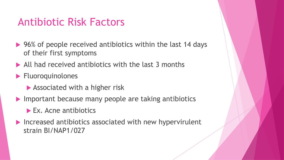### Antibiotic Risk Factors

- ▶ 96% of people received antibiotics within the last 14 days of their first symptoms
- All had received antibiotics with the last 3 months
- **Fluoroquinolones** 
	- **Associated with a higher risk**
- Important because many people are taking antibiotics
	- ▶ Ex. Acne antibiotics
- $\blacktriangleright$  Increased antibiotics associated with new hypervirulent strain BI/NAP1/027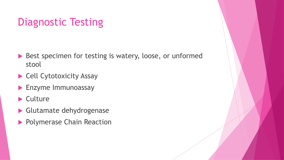## Diagnostic Testing

- Best specimen for testing is watery, loose, or unformed stool
- ▶ Cell Cytotoxicity Assay
- **Enzyme Immunoassay**
- ▶ Culture
- Glutamate dehydrogenase
- **Polymerase Chain Reaction**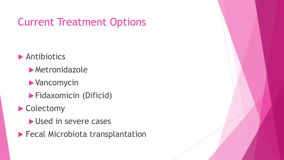# Current Treatment Options

#### **Antibiotics**

- **Metronidazole**
- **Vancomycin**
- **Fidaxomicin (Dificid)**

#### ▶ Colectomy

- Used in severe cases
- **Fecal Microbiota transplantation**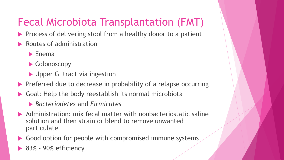# Fecal Microbiota Transplantation (FMT)

- Process of delivering stool from a healthy donor to a patient
- Routes of administration
	- $\blacktriangleright$  Enema
	- ▶ Colonoscopy
	- ▶ Upper GI tract via ingestion
- **Preferred due to decrease in probability of a relapse occurring**
- Goal: Help the body reestablish its normal microbiota
	- *Bacteriodetes* and *Firmicutes*
- Administration: mix fecal matter with nonbacteriostatic saline solution and then strain or blend to remove unwanted particulate
- Good option for people with compromised immune systems
- $\triangleright$  83% 90% efficiency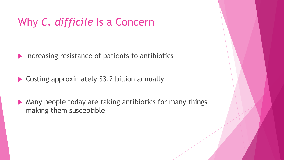# Why *C. difficile* Is a Concern

 $\blacktriangleright$  Increasing resistance of patients to antibiotics

▶ Costing approximately \$3.2 billion annually

▶ Many people today are taking antibiotics for many things making them susceptible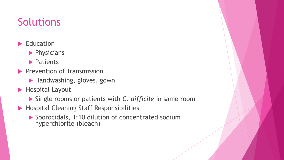# **Solutions**

- $\blacktriangleright$  Education
	- $\blacktriangleright$  Physicians
	- **Patients**
- $\blacktriangleright$  Prevention of Transmission
	- ▶ Handwashing, gloves, gown
- ▶ Hospital Layout
	- Single rooms or patients with *C. difficile* in same room
- **Hospital Cleaning Staff Responsibilities** 
	- Sporocidals, 1:10 dilution of concentrated sodium hyperchlorite (bleach)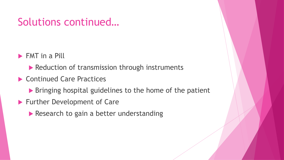### Solutions continued…

**FMT** in a Pill

Reduction of transmission through instruments

- ▶ Continued Care Practices
	- ▶ Bringing hospital guidelines to the home of the patient
- ▶ Further Development of Care
	- Research to gain a better understanding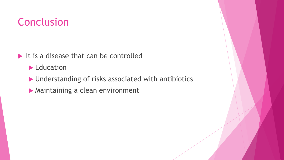## Conclusion

- $\blacktriangleright$  It is a disease that can be controlled
	- Education
	- Understanding of risks associated with antibiotics
	- Maintaining a clean environment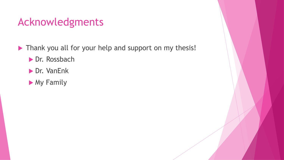### Acknowledgments

▶ Thank you all for your help and support on my thesis!

- Dr. Rossbach
- ▶ Dr. VanEnk
- My Family